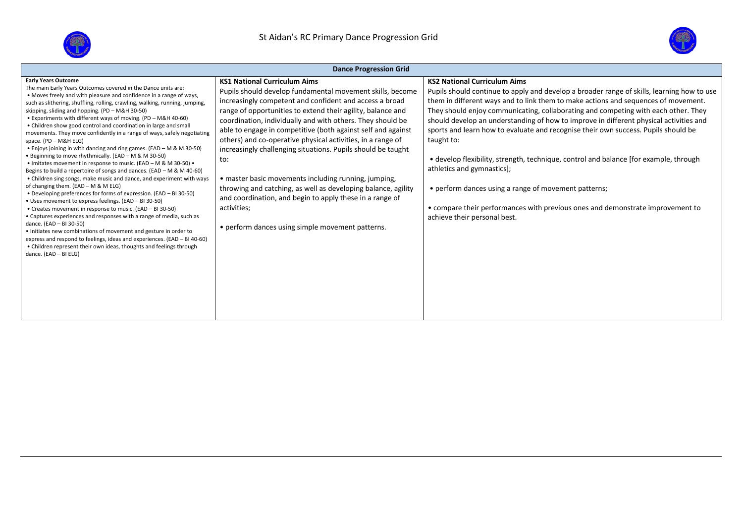



| <b>Dance Progression Grid</b>                                                                                                                                                                                                                                                                                                                                                                                                                                                                                                                                                                                                                                                                                                                                                                                                                                                                                                                                                                                                                                                                                                                                                                                                                                                                                                                                                                                                                                                             |                                                                                                                                                                                                                                                                                                                                                                                                                                                                                                                                                                                                                                                                                                                                                        |                                                                                                                                                                                                                                                                                                                                                                                                                                                                                                                                                                                                                                                                                                                                                                                                              |  |  |  |  |  |  |
|-------------------------------------------------------------------------------------------------------------------------------------------------------------------------------------------------------------------------------------------------------------------------------------------------------------------------------------------------------------------------------------------------------------------------------------------------------------------------------------------------------------------------------------------------------------------------------------------------------------------------------------------------------------------------------------------------------------------------------------------------------------------------------------------------------------------------------------------------------------------------------------------------------------------------------------------------------------------------------------------------------------------------------------------------------------------------------------------------------------------------------------------------------------------------------------------------------------------------------------------------------------------------------------------------------------------------------------------------------------------------------------------------------------------------------------------------------------------------------------------|--------------------------------------------------------------------------------------------------------------------------------------------------------------------------------------------------------------------------------------------------------------------------------------------------------------------------------------------------------------------------------------------------------------------------------------------------------------------------------------------------------------------------------------------------------------------------------------------------------------------------------------------------------------------------------------------------------------------------------------------------------|--------------------------------------------------------------------------------------------------------------------------------------------------------------------------------------------------------------------------------------------------------------------------------------------------------------------------------------------------------------------------------------------------------------------------------------------------------------------------------------------------------------------------------------------------------------------------------------------------------------------------------------------------------------------------------------------------------------------------------------------------------------------------------------------------------------|--|--|--|--|--|--|
| <b>Early Years Outcome</b><br>The main Early Years Outcomes covered in the Dance units are:<br>• Moves freely and with pleasure and confidence in a range of ways,<br>such as slithering, shuffling, rolling, crawling, walking, running, jumping,<br>skipping, sliding and hopping. (PD - M&H 30-50)<br>• Experiments with different ways of moving. (PD - M&H 40-60)<br>• Children show good control and coordination in large and small<br>movements. They move confidently in a range of ways, safely negotiating<br>space. (PD - M&H ELG)<br>• Enjoys joining in with dancing and ring games. (EAD - M & M 30-50)<br>• Beginning to move rhythmically. (EAD - M & M 30-50)<br>• Imitates movement in response to music. (EAD - M & M 30-50) •<br>Begins to build a repertoire of songs and dances. (EAD - M & M 40-60)<br>• Children sing songs, make music and dance, and experiment with ways<br>of changing them. (EAD - M & M ELG)<br>• Developing preferences for forms of expression. (EAD - BI 30-50)<br>• Uses movement to express feelings. (EAD - BI 30-50)<br>• Creates movement in response to music. (EAD - BI 30-50)<br>• Captures experiences and responses with a range of media, such as<br>dance. (EAD - BI 30-50)<br>. Initiates new combinations of movement and gesture in order to<br>express and respond to feelings, ideas and experiences. (EAD - BI 40-60)<br>• Children represent their own ideas, thoughts and feelings through<br>dance. (EAD - BI ELG) | <b>KS1 National Curriculum Aims</b><br>Pupils should develop fundamental movement skills, become<br>increasingly competent and confident and access a broad<br>range of opportunities to extend their agility, balance and<br>coordination, individually and with others. They should be<br>able to engage in competitive (both against self and against<br>others) and co-operative physical activities, in a range of<br>increasingly challenging situations. Pupils should be taught<br>to:<br>• master basic movements including running, jumping,<br>throwing and catching, as well as developing balance, agility<br>and coordination, and begin to apply these in a range of<br>activities;<br>• perform dances using simple movement patterns. | <b>KS2 National Curriculum Aims</b><br>Pupils should continue to apply and develop a broader range of skills, learning how to use<br>them in different ways and to link them to make actions and sequences of movement.<br>They should enjoy communicating, collaborating and competing with each other. They<br>should develop an understanding of how to improve in different physical activities and<br>sports and learn how to evaluate and recognise their own success. Pupils should be<br>taught to:<br>• develop flexibility, strength, technique, control and balance [for example, through<br>athletics and gymnastics];<br>• perform dances using a range of movement patterns;<br>• compare their performances with previous ones and demonstrate improvement to<br>achieve their personal best. |  |  |  |  |  |  |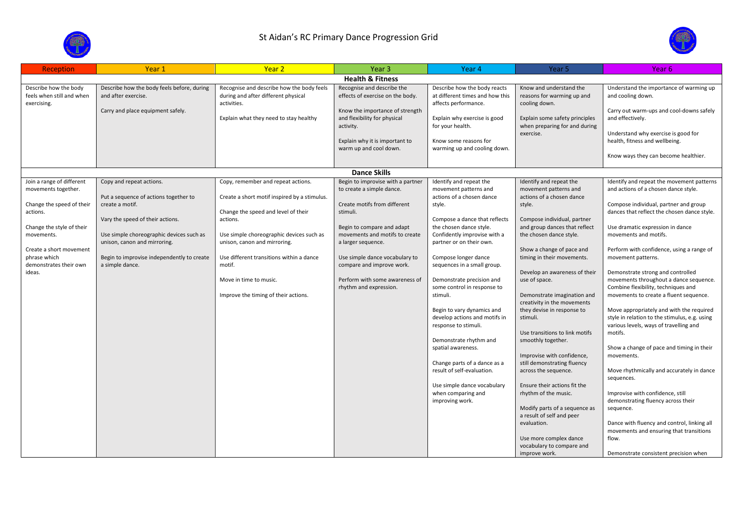



| <b>Reception</b>                                   | Year 1                                                                   | Year <sub>2</sub>                                                                | Year <sub>3</sub>                                               | Year 4                                                          | Year 5                                                     | Year 6                                                                                  |  |  |
|----------------------------------------------------|--------------------------------------------------------------------------|----------------------------------------------------------------------------------|-----------------------------------------------------------------|-----------------------------------------------------------------|------------------------------------------------------------|-----------------------------------------------------------------------------------------|--|--|
| <b>Health &amp; Fitness</b>                        |                                                                          |                                                                                  |                                                                 |                                                                 |                                                            |                                                                                         |  |  |
| Describe how the body<br>feels when still and when | Describe how the body feels before, during<br>and after exercise.        | Recognise and describe how the body feels<br>during and after different physical | Recognise and describe the<br>effects of exercise on the body.  | Describe how the body reacts<br>at different times and how this | Know and understand the<br>reasons for warming up and      | Understand the importance of warming up<br>and cooling down.                            |  |  |
| exercising.                                        | Carry and place equipment safely.                                        | activities.<br>Explain what they need to stay healthy                            | Know the importance of strength<br>and flexibility for physical | affects performance.<br>Explain why exercise is good            | cooling down.<br>Explain some safety principles            | Carry out warm-ups and cool-downs safely<br>and effectively.                            |  |  |
|                                                    |                                                                          |                                                                                  | activity.                                                       | for your health.                                                | when preparing for and during<br>exercise.                 | Understand why exercise is good for                                                     |  |  |
|                                                    |                                                                          |                                                                                  | Explain why it is important to<br>warm up and cool down.        | Know some reasons for<br>warming up and cooling down.           |                                                            | health, fitness and wellbeing.                                                          |  |  |
|                                                    |                                                                          |                                                                                  |                                                                 |                                                                 |                                                            | Know ways they can become healthier.                                                    |  |  |
|                                                    |                                                                          |                                                                                  | <b>Dance Skills</b>                                             |                                                                 |                                                            |                                                                                         |  |  |
| Join a range of different                          | Copy and repeat actions.                                                 | Copy, remember and repeat actions.                                               | Begin to improvise with a partner                               | Identify and repeat the                                         | Identify and repeat the                                    | Identify and repeat the movement patterns                                               |  |  |
| movements together.                                | Put a sequence of actions together to                                    | Create a short motif inspired by a stimulus.                                     | to create a simple dance.                                       | movement patterns and<br>actions of a chosen dance              | movement patterns and<br>actions of a chosen dance         | and actions of a chosen dance style.                                                    |  |  |
| Change the speed of their                          | create a motif.                                                          |                                                                                  | Create motifs from different                                    | style.                                                          | style.                                                     | Compose individual, partner and group                                                   |  |  |
| actions.                                           |                                                                          | Change the speed and level of their                                              | stimuli.                                                        |                                                                 |                                                            | dances that reflect the chosen dance style.                                             |  |  |
|                                                    | Vary the speed of their actions.                                         | actions.                                                                         |                                                                 | Compose a dance that reflects                                   | Compose individual, partner                                |                                                                                         |  |  |
| Change the style of their                          |                                                                          |                                                                                  | Begin to compare and adapt                                      | the chosen dance style.                                         | and group dances that reflect                              | Use dramatic expression in dance                                                        |  |  |
| movements.                                         | Use simple choreographic devices such as<br>unison, canon and mirroring. | Use simple choreographic devices such as<br>unison, canon and mirroring.         | movements and motifs to create<br>a larger sequence.            | Confidently improvise with a<br>partner or on their own.        | the chosen dance style.                                    | movements and motifs.                                                                   |  |  |
| Create a short movement                            |                                                                          |                                                                                  |                                                                 |                                                                 | Show a change of pace and                                  | Perform with confidence, using a range of                                               |  |  |
| phrase which                                       | Begin to improvise independently to create                               | Use different transitions within a dance                                         | Use simple dance vocabulary to                                  | Compose longer dance                                            | timing in their movements.                                 | movement patterns.                                                                      |  |  |
| demonstrates their own                             | a simple dance.                                                          | motif.                                                                           | compare and improve work.                                       | sequences in a small group.                                     |                                                            |                                                                                         |  |  |
| ideas.                                             |                                                                          | Move in time to music.                                                           | Perform with some awareness of                                  | Demonstrate precision and                                       | Develop an awareness of their<br>use of space.             | Demonstrate strong and controlled<br>movements throughout a dance sequence.             |  |  |
|                                                    |                                                                          |                                                                                  | rhythm and expression.                                          | some control in response to                                     |                                                            | Combine flexibility, techniques and                                                     |  |  |
|                                                    |                                                                          | Improve the timing of their actions.                                             |                                                                 | stimuli.                                                        | Demonstrate imagination and<br>creativity in the movements | movements to create a fluent sequence.                                                  |  |  |
|                                                    |                                                                          |                                                                                  |                                                                 | Begin to vary dynamics and                                      | they devise in response to                                 | Move appropriately and with the required                                                |  |  |
|                                                    |                                                                          |                                                                                  |                                                                 | develop actions and motifs in<br>response to stimuli.           | stimuli.                                                   | style in relation to the stimulus, e.g. using<br>various levels, ways of travelling and |  |  |
|                                                    |                                                                          |                                                                                  |                                                                 |                                                                 | Use transitions to link motifs                             | motifs.                                                                                 |  |  |
|                                                    |                                                                          |                                                                                  |                                                                 | Demonstrate rhythm and                                          | smoothly together.                                         |                                                                                         |  |  |
|                                                    |                                                                          |                                                                                  |                                                                 | spatial awareness.                                              |                                                            | Show a change of pace and timing in their                                               |  |  |
|                                                    |                                                                          |                                                                                  |                                                                 | Change parts of a dance as a                                    | Improvise with confidence,<br>still demonstrating fluency  | movements.                                                                              |  |  |
|                                                    |                                                                          |                                                                                  |                                                                 | result of self-evaluation.                                      | across the sequence.                                       | Move rhythmically and accurately in dance                                               |  |  |
|                                                    |                                                                          |                                                                                  |                                                                 |                                                                 |                                                            | sequences.                                                                              |  |  |
|                                                    |                                                                          |                                                                                  |                                                                 | Use simple dance vocabulary                                     | Ensure their actions fit the                               |                                                                                         |  |  |
|                                                    |                                                                          |                                                                                  |                                                                 | when comparing and<br>improving work.                           | rhythm of the music.                                       | Improvise with confidence, still<br>demonstrating fluency across their                  |  |  |
|                                                    |                                                                          |                                                                                  |                                                                 |                                                                 | Modify parts of a sequence as                              | sequence.                                                                               |  |  |
|                                                    |                                                                          |                                                                                  |                                                                 |                                                                 | a result of self and peer<br>evaluation.                   | Dance with fluency and control, linking all                                             |  |  |
|                                                    |                                                                          |                                                                                  |                                                                 |                                                                 |                                                            | movements and ensuring that transitions                                                 |  |  |
|                                                    |                                                                          |                                                                                  |                                                                 |                                                                 | Use more complex dance                                     | flow.                                                                                   |  |  |
|                                                    |                                                                          |                                                                                  |                                                                 |                                                                 | vocabulary to compare and                                  |                                                                                         |  |  |
|                                                    |                                                                          |                                                                                  |                                                                 |                                                                 | improve work.                                              | Demonstrate consistent precision when                                                   |  |  |